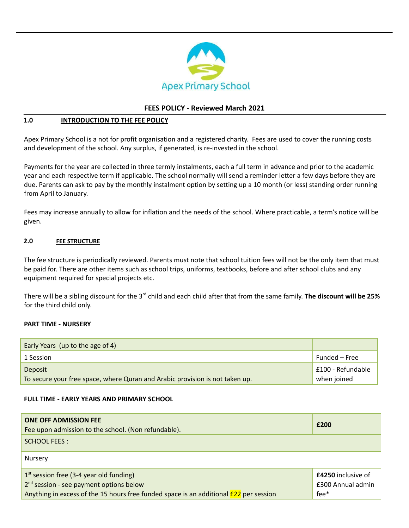

### **FEES POLICY - Reviewed March 2021**

### **1.0 INTRODUCTION TO THE FEE POLICY**

Apex Primary School is a not for profit organisation and a registered charity. Fees are used to cover the running costs and development of the school. Any surplus, if generated, is re-invested in the school.

Payments for the year are collected in three termly instalments, each a full term in advance and prior to the academic year and each respective term if applicable. The school normally will send a reminder letter a few days before they are due. Parents can ask to pay by the monthly instalment option by setting up a 10 month (or less) standing order running from April to January.

Fees may increase annually to allow for inflation and the needs of the school. Where practicable, a term's notice will be given.

#### **2.0 FEE STRUCTURE**

The fee structure is periodically reviewed. Parents must note that school tuition fees will not be the only item that must be paid for. There are other items such as school trips, uniforms, textbooks, before and after school clubs and any equipment required for special projects etc.

There will be a sibling discount for the 3<sup>rd</sup> child and each child after that from the same family. **The discount will be 25%** for the third child only.

#### **PART TIME - NURSERY**

| Early Years (up to the age of 4)                                             |                   |
|------------------------------------------------------------------------------|-------------------|
| 1 Session                                                                    | Funded – Free     |
| Deposit                                                                      | E100 - Refundable |
| To secure your free space, where Quran and Arabic provision is not taken up. | when joined       |

#### **FULL TIME - EARLY YEARS AND PRIMARY SCHOOL**

| <b>ONE OFF ADMISSION FEE</b><br>Fee upon admission to the school. (Non refundable).                                                                                                          | £200                                                   |
|----------------------------------------------------------------------------------------------------------------------------------------------------------------------------------------------|--------------------------------------------------------|
| <b>SCHOOL FEES:</b>                                                                                                                                                                          |                                                        |
| Nursery                                                                                                                                                                                      |                                                        |
| $1st$ session free (3-4 year old funding)<br>2 <sup>nd</sup> session - see payment options below<br>Anything in excess of the 15 hours free funded space is an additional $E$ 22 per session | <b>£4250</b> inclusive of<br>£300 Annual admin<br>fee* |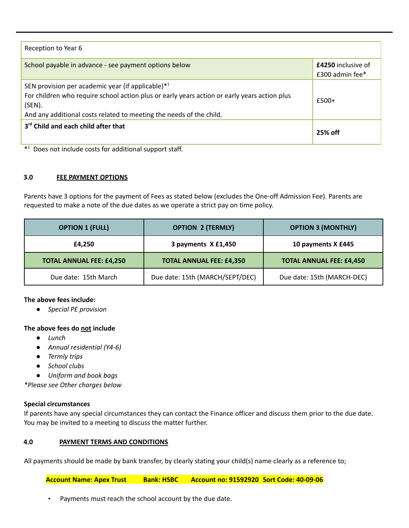| Reception to Year 6                                                                                                                                                                                                                   |                                              |
|---------------------------------------------------------------------------------------------------------------------------------------------------------------------------------------------------------------------------------------|----------------------------------------------|
| School payable in advance - see payment options below                                                                                                                                                                                 | <b>£4250</b> inclusive of<br>£300 admin fee* |
| SEN provision per academic year (if applicable) $*1$<br>For children who require school action plus or early years action or early years action plus<br>(SEN).<br>And any additional costs related to meeting the needs of the child. | $f500+$                                      |
| 3rd Child and each child after that                                                                                                                                                                                                   | 25% off                                      |

\* <sup>1</sup> Does not include costs for additional support staff.

### **3.0 FEE PAYMENT OPTIONS**

Parents have 3 options for the payment of Fees as stated below (excludes the One-off Admission Fee). Parents are requested to make a note of the due dates as we operate a strict pay on time policy.

| <b>OPTION 1 (FULL)</b>          | <b>OPTION 2 (TERMLY)</b>        | <b>OPTION 3 (MONTHLY)</b>       |
|---------------------------------|---------------------------------|---------------------------------|
| £4.250                          | 3 payments X £1,450             | 10 payments X £445              |
| <b>TOTAL ANNUAL FEE: £4,250</b> | <b>TOTAL ANNUAL FEE: £4,350</b> | <b>TOTAL ANNUAL FEE: £4,450</b> |
| Due date: 15th March            | Due date: 15th (MARCH/SEPT/DEC) | Due date: 15th (MARCH-DEC)      |

#### **The above fees include:**

*● Special PE provision*

## **The above fees do not include**

- **●** *Lunch*
- **●** *Annual residential (Y4-6)*
- **●** *Termly trips*
- **●** *School clubs*
- *● Uniform and book bags*

*\*Please see Other charges below*

#### **Special circumstances**

If parents have any special circumstances they can contact the Finance officer and discuss them prior to the due date. You may be invited to a meeting to discuss the matter further.

## **4.0 PAYMENT TERMS AND CONDITIONS**

All payments should be made by bank transfer, by clearly stating your child(s) name clearly as a reference to;

**Account Name: Apex Trust Bank: HSBC Account no: 91592920 Sort Code: 40-09-06**

Payments must reach the school account by the due date.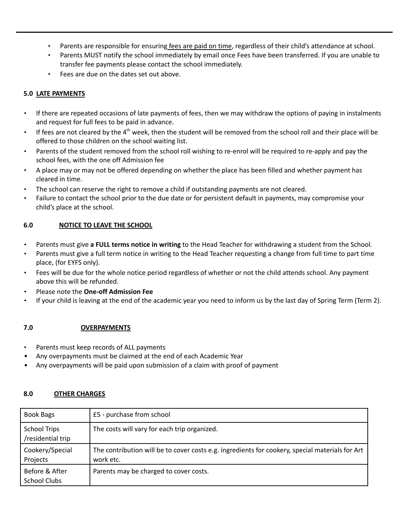- Parents are responsible for ensuring fees are paid on time, regardless of their child's attendance at school.
- Parents MUST notify the school immediately by email once Fees have been transferred. If you are unable to transfer fee payments please contact the school immediately.
- Fees are due on the dates set out above.

## **5.0 LATE PAYMENTS**

- If there are repeated occasions of late payments of fees, then we may withdraw the options of paying in instalments and request for full fees to be paid in advance.
- $\cdot$  If fees are not cleared by the 4<sup>th</sup> week, then the student will be removed from the school roll and their place will be offered to those children on the school waiting list.
- Parents of the student removed from the school roll wishing to re-enrol will be required to re-apply and pay the school fees, with the one off Admission fee
- A place may or may not be offered depending on whether the place has been filled and whether payment has cleared in time.
- The school can reserve the right to remove a child if outstanding payments are not cleared.
- Failure to contact the school prior to the due date or for persistent default in payments, may compromise your child's place at the school.

## **6.0 NOTICE TO LEAVE THE SCHOOL**

- Parents must give **a FULL terms notice in writing** to the Head Teacher for withdrawing a student from the School.
- Parents must give a full term notice in writing to the Head Teacher requesting a change from full time to part time place, (for EYFS only).
- Fees will be due for the whole notice period regardless of whether or not the child attends school. Any payment above this will be refunded.
- Please note the **One-off Admission Fee**
- If your child is leaving at the end of the academic year you need to inform us by the last day of Spring Term (Term 2).

# **7.0 OVERPAYMENTS**

- Parents must keep records of ALL payments
- Any overpayments must be claimed at the end of each Academic Year
- Any overpayments will be paid upon submission of a claim with proof of payment

## **8.0 OTHER CHARGES**

| Book Bags                                | £5 - purchase from school                                                                                    |
|------------------------------------------|--------------------------------------------------------------------------------------------------------------|
| <b>School Trips</b><br>/residential trip | The costs will vary for each trip organized.                                                                 |
| Cookery/Special<br>Projects              | The contribution will be to cover costs e.g. ingredients for cookery, special materials for Art<br>work etc. |
| Before & After<br>School Clubs           | Parents may be charged to cover costs.                                                                       |